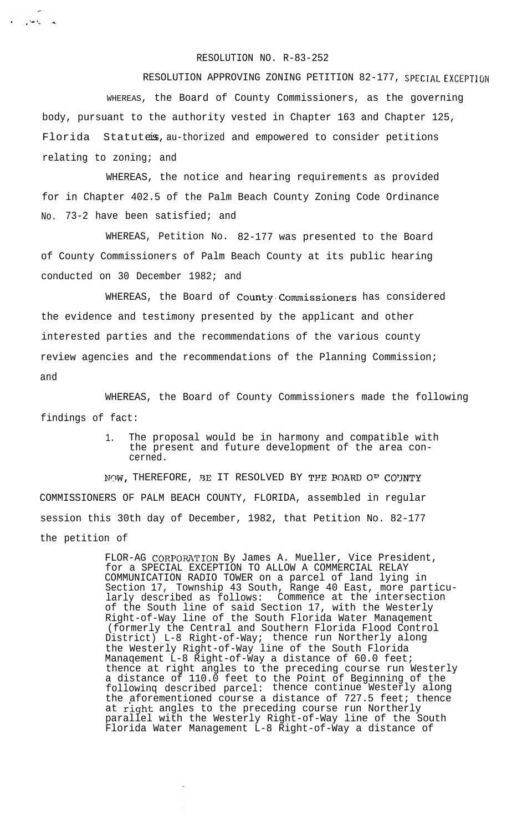## RESOLUTION NO. R-83-252

 $\label{eq:2} \mathbf{z} = -\frac{1}{2} \sin \theta_{\mathbf{z}} \qquad \mathbf{z}$ 

RESOLUTION APPROVING ZONING PETITION 82-177, SPECIAL EXCEPTION

WHEREAS, the Board of County Commissioners, as the governing body, pursuant to the authority vested in Chapter 163 and Chapter 125, Florida Statutes, au-thorized and empowered to consider petitions relating to zoning; and

WHEREAS, the notice and hearing requirements as provided for in Chapter 402.5 of the Palm Beach County Zoning Code Ordinance No. 73-2 have been satisfied; and

WHEREAS, Petition No. 82-177 was presented to the Board of County Commissioners of Palm Beach County at its public hearing conducted on 30 December 1982; and

WHEREAS, the Board of County.Commissioners has considered the evidence and testimony presented by the applicant and other interested parties and the recommendations of the various county review agencies and the recommendations of the Planning Commission; and

WHEREAS, the Board of County Commissioners made the following findings of fact:

> 1. The proposal would be in harmony and compatible with the present and future development of the area concerned.

NOW, THEREFORE, BE IT RESOLVED BY THE BOARD OF COUNTY COMMISSIONERS OF PALM BEACH COUNTY, FLORIDA, assembled in regular session this 30th day of December, 1982, that Petition No. 82-177 the petition of

> FLOR-AG CORPORATION By James A. Mueller, Vice President, for a SPECIAL EXCEPTION TO ALLOW A COMMERCIAL RELAY COMMUNICATION RADIO TOWER on a parcel of land lying in Section 17, Township 43 South, Range 40 East, more particularly described as follows: Commence at the intersection of the South line of said Section 17, with the Westerly Right-of-Way line of the South Florida Water Manaqement (formerly the Central and Southern Florida Flood Control District) L-8 Right-of-Way; thence run Northerly along the Westerly Right-of-Way line of the South Florida Manaqement L-8 Right-of-Way a distance of 60.0 feet; thence at right angles to the preceding course run Westerly a distance of 110.0 feet to the Point of Beginning of the followinq described parcel: thence continue Westerly along the aforementioned course a distance of 727.5 feet; thence at right angles to the preceding course run Northerly parallel with the Westerly Right-of-Way line of the South Florida Water Management L-8 Right-of-Way a distance of